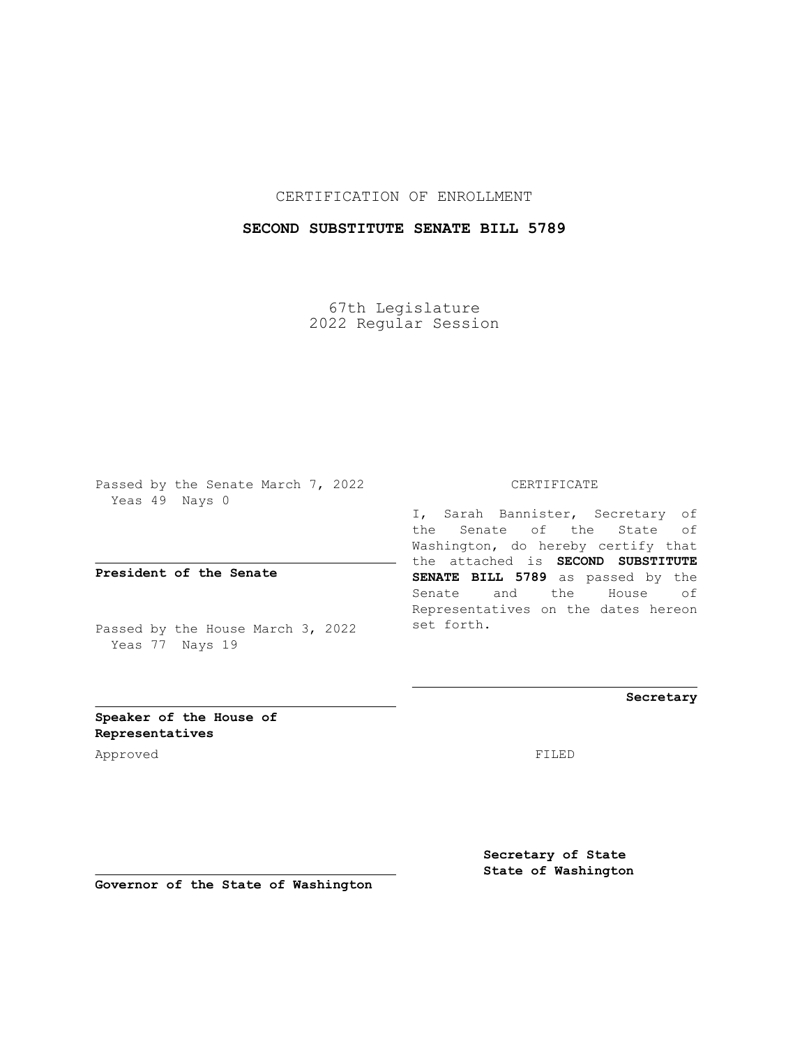## CERTIFICATION OF ENROLLMENT

## **SECOND SUBSTITUTE SENATE BILL 5789**

67th Legislature 2022 Regular Session

Passed by the Senate March 7, 2022 Yeas 49 Nays 0

**President of the Senate**

Passed by the House March 3, 2022 Yeas 77 Nays 19

CERTIFICATE

I, Sarah Bannister, Secretary of the Senate of the State of Washington, do hereby certify that the attached is **SECOND SUBSTITUTE SENATE BILL 5789** as passed by the Senate and the House of Representatives on the dates hereon set forth.

**Secretary**

**Speaker of the House of Representatives**

Approved FILED

**Secretary of State State of Washington**

**Governor of the State of Washington**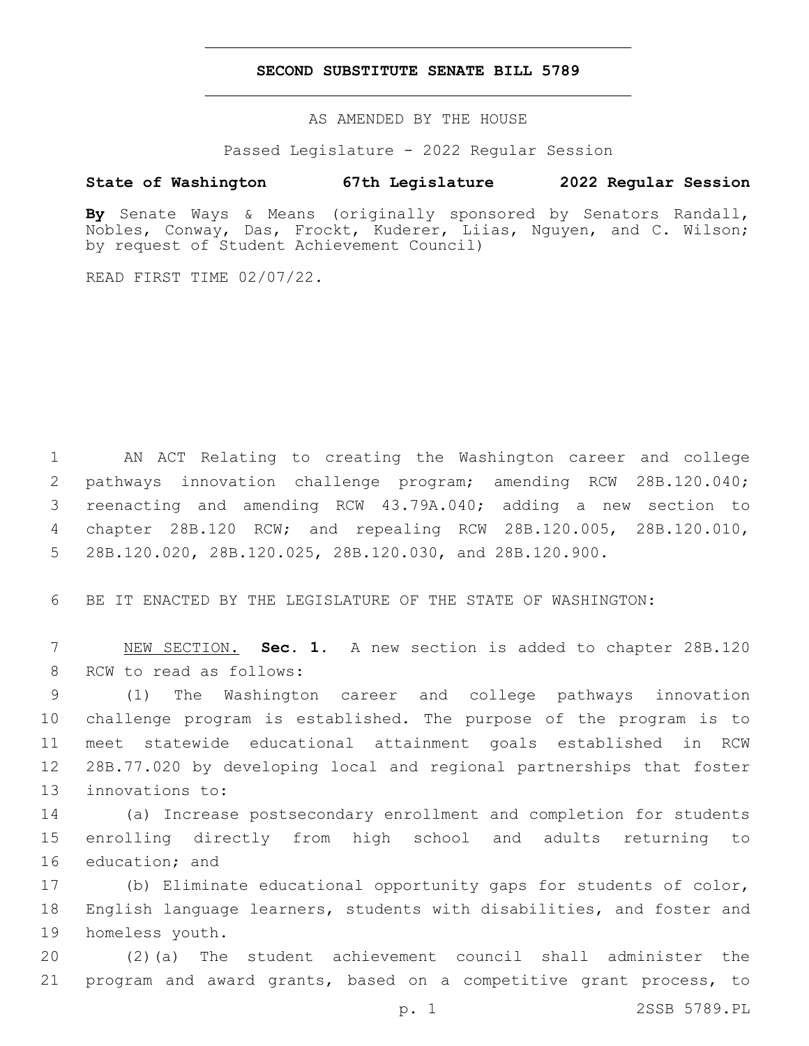## **SECOND SUBSTITUTE SENATE BILL 5789**

AS AMENDED BY THE HOUSE

Passed Legislature - 2022 Regular Session

## **State of Washington 67th Legislature 2022 Regular Session**

**By** Senate Ways & Means (originally sponsored by Senators Randall, Nobles, Conway, Das, Frockt, Kuderer, Liias, Nguyen, and C. Wilson; by request of Student Achievement Council)

READ FIRST TIME 02/07/22.

 AN ACT Relating to creating the Washington career and college pathways innovation challenge program; amending RCW 28B.120.040; reenacting and amending RCW 43.79A.040; adding a new section to chapter 28B.120 RCW; and repealing RCW 28B.120.005, 28B.120.010, 28B.120.020, 28B.120.025, 28B.120.030, and 28B.120.900.

6 BE IT ENACTED BY THE LEGISLATURE OF THE STATE OF WASHINGTON:

7 NEW SECTION. **Sec. 1.** A new section is added to chapter 28B.120 8 RCW to read as follows:

 (1) The Washington career and college pathways innovation challenge program is established. The purpose of the program is to meet statewide educational attainment goals established in RCW 28B.77.020 by developing local and regional partnerships that foster 13 innovations to:

14 (a) Increase postsecondary enrollment and completion for students 15 enrolling directly from high school and adults returning to 16 education; and

17 (b) Eliminate educational opportunity gaps for students of color, 18 English language learners, students with disabilities, and foster and 19 homeless youth.

20 (2)(a) The student achievement council shall administer the 21 program and award grants, based on a competitive grant process, to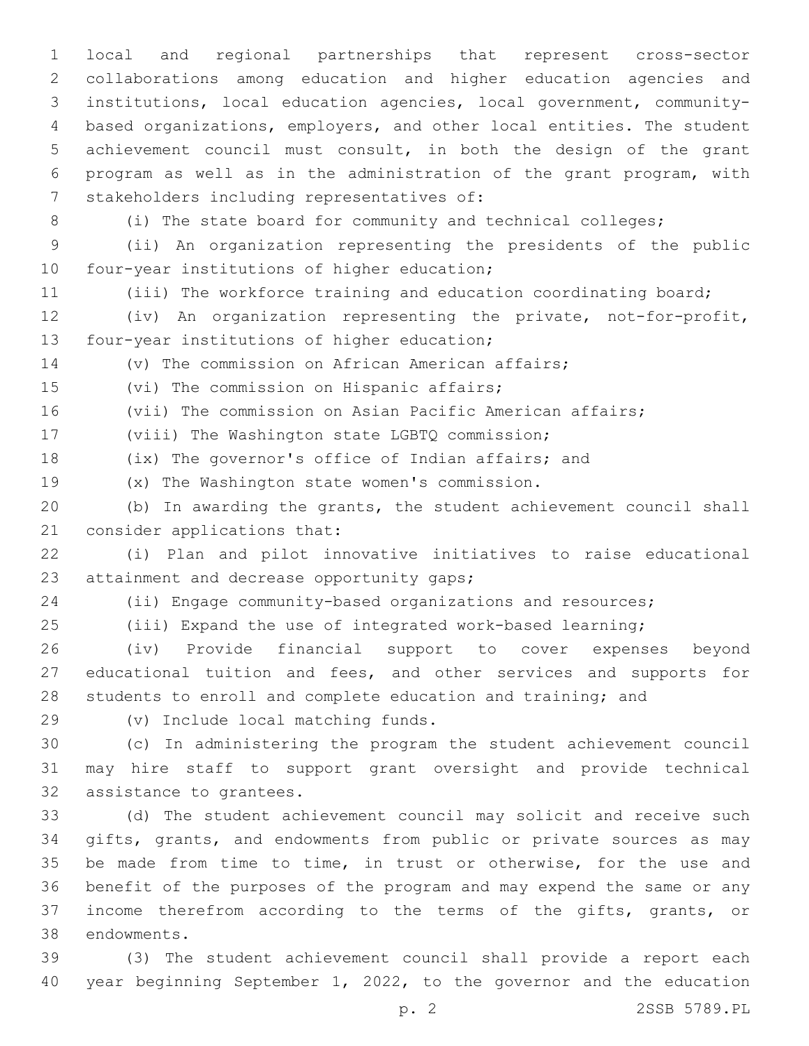local and regional partnerships that represent cross-sector collaborations among education and higher education agencies and institutions, local education agencies, local government, community- based organizations, employers, and other local entities. The student achievement council must consult, in both the design of the grant program as well as in the administration of the grant program, with 7 stakeholders including representatives of:

(i) The state board for community and technical colleges;

 (ii) An organization representing the presidents of the public 10 four-year institutions of higher education;

(iii) The workforce training and education coordinating board;

 (iv) An organization representing the private, not-for-profit, 13 four-year institutions of higher education;

(v) The commission on African American affairs;

15 (vi) The commission on Hispanic affairs;

(vii) The commission on Asian Pacific American affairs;

17 (viii) The Washington state LGBTQ commission;

(ix) The governor's office of Indian affairs; and

19 (x) The Washington state women's commission.

 (b) In awarding the grants, the student achievement council shall 21 consider applications that:

 (i) Plan and pilot innovative initiatives to raise educational 23 attainment and decrease opportunity gaps;

(ii) Engage community-based organizations and resources;

(iii) Expand the use of integrated work-based learning;

 (iv) Provide financial support to cover expenses beyond 27 educational tuition and fees, and other services and supports for students to enroll and complete education and training; and

(v) Include local matching funds.29

 (c) In administering the program the student achievement council may hire staff to support grant oversight and provide technical 32 assistance to grantees.

 (d) The student achievement council may solicit and receive such gifts, grants, and endowments from public or private sources as may be made from time to time, in trust or otherwise, for the use and benefit of the purposes of the program and may expend the same or any income therefrom according to the terms of the gifts, grants, or 38 endowments.

 (3) The student achievement council shall provide a report each year beginning September 1, 2022, to the governor and the education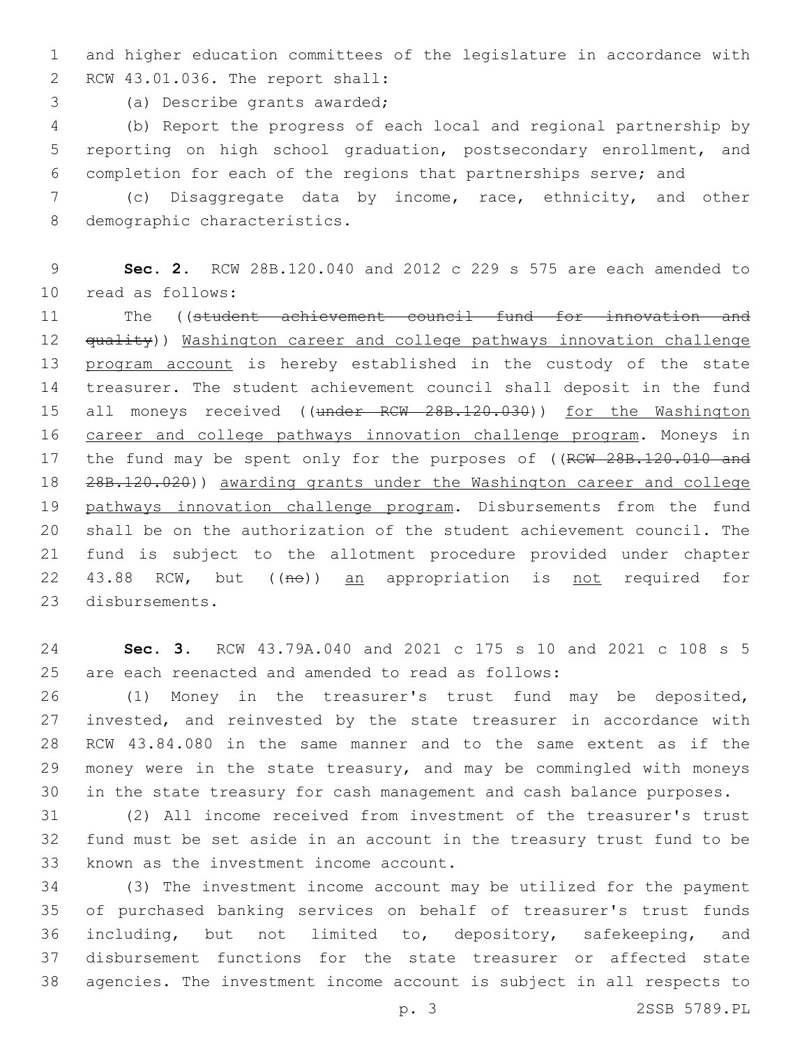and higher education committees of the legislature in accordance with RCW 43.01.036. The report shall:2

3 (a) Describe grants awarded;

 (b) Report the progress of each local and regional partnership by reporting on high school graduation, postsecondary enrollment, and completion for each of the regions that partnerships serve; and

 (c) Disaggregate data by income, race, ethnicity, and other 8 demographic characteristics.

 **Sec. 2.** RCW 28B.120.040 and 2012 c 229 s 575 are each amended to 10 read as follows:

 The ((student achievement council fund for innovation and 12 <del>quality</del>)) Washington career and college pathways innovation challenge 13 program account is hereby established in the custody of the state treasurer. The student achievement council shall deposit in the fund 15 all moneys received ((under RCW 28B.120.030)) for the Washington career and college pathways innovation challenge program. Moneys in 17 the fund may be spent only for the purposes of ((RCW 28B.120.010 and 28B.120.020)) awarding grants under the Washington career and college pathways innovation challenge program. Disbursements from the fund shall be on the authorization of the student achievement council. The fund is subject to the allotment procedure provided under chapter 22 43.88 RCW, but ((no)) an appropriation is not required for 23 disbursements.

 **Sec. 3.** RCW 43.79A.040 and 2021 c 175 s 10 and 2021 c 108 s 5 are each reenacted and amended to read as follows:

 (1) Money in the treasurer's trust fund may be deposited, invested, and reinvested by the state treasurer in accordance with RCW 43.84.080 in the same manner and to the same extent as if the money were in the state treasury, and may be commingled with moneys in the state treasury for cash management and cash balance purposes.

 (2) All income received from investment of the treasurer's trust fund must be set aside in an account in the treasury trust fund to be 33 known as the investment income account.

 (3) The investment income account may be utilized for the payment of purchased banking services on behalf of treasurer's trust funds including, but not limited to, depository, safekeeping, and disbursement functions for the state treasurer or affected state agencies. The investment income account is subject in all respects to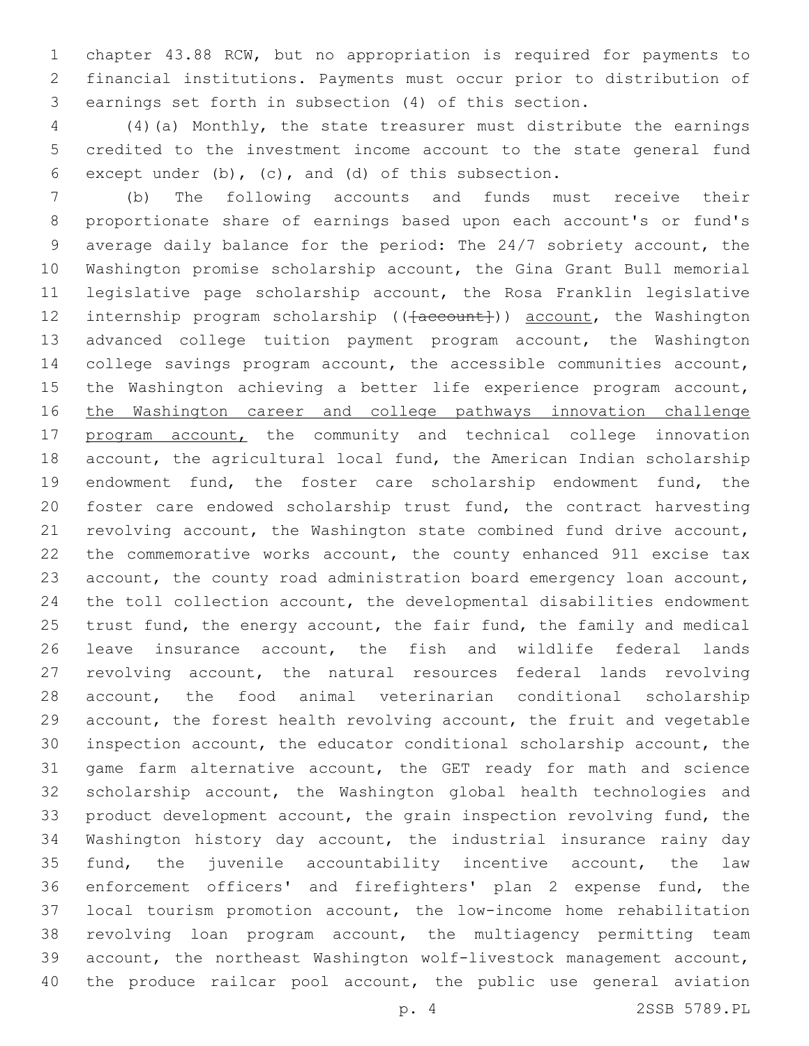chapter 43.88 RCW, but no appropriation is required for payments to financial institutions. Payments must occur prior to distribution of earnings set forth in subsection (4) of this section.

 (4)(a) Monthly, the state treasurer must distribute the earnings credited to the investment income account to the state general fund 6 except under (b), (c), and (d) of this subsection.

 (b) The following accounts and funds must receive their proportionate share of earnings based upon each account's or fund's average daily balance for the period: The 24/7 sobriety account, the Washington promise scholarship account, the Gina Grant Bull memorial legislative page scholarship account, the Rosa Franklin legislative 12 internship program scholarship (( $\{a$ ccount)) account, the Washington advanced college tuition payment program account, the Washington college savings program account, the accessible communities account, the Washington achieving a better life experience program account, the Washington career and college pathways innovation challenge 17 program account, the community and technical college innovation account, the agricultural local fund, the American Indian scholarship endowment fund, the foster care scholarship endowment fund, the foster care endowed scholarship trust fund, the contract harvesting revolving account, the Washington state combined fund drive account, the commemorative works account, the county enhanced 911 excise tax account, the county road administration board emergency loan account, the toll collection account, the developmental disabilities endowment 25 trust fund, the energy account, the fair fund, the family and medical leave insurance account, the fish and wildlife federal lands revolving account, the natural resources federal lands revolving account, the food animal veterinarian conditional scholarship account, the forest health revolving account, the fruit and vegetable inspection account, the educator conditional scholarship account, the game farm alternative account, the GET ready for math and science scholarship account, the Washington global health technologies and product development account, the grain inspection revolving fund, the Washington history day account, the industrial insurance rainy day fund, the juvenile accountability incentive account, the law enforcement officers' and firefighters' plan 2 expense fund, the local tourism promotion account, the low-income home rehabilitation revolving loan program account, the multiagency permitting team account, the northeast Washington wolf-livestock management account, 40 the produce railcar pool account, the public use general aviation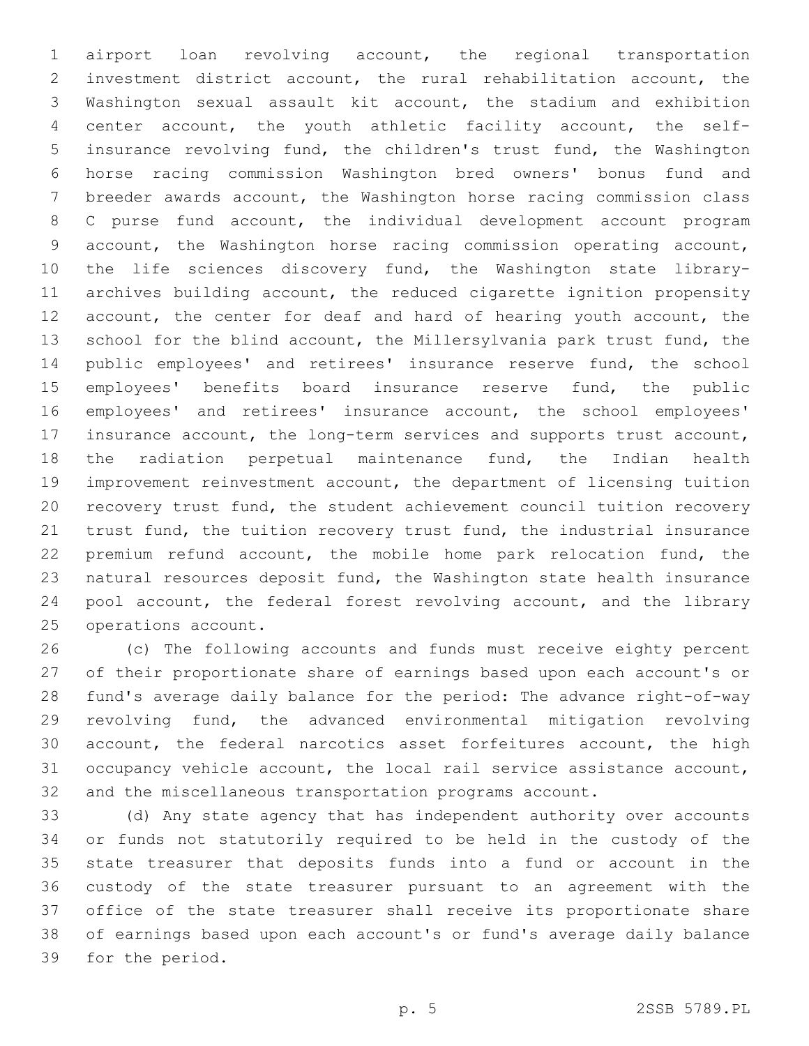airport loan revolving account, the regional transportation investment district account, the rural rehabilitation account, the Washington sexual assault kit account, the stadium and exhibition center account, the youth athletic facility account, the self- insurance revolving fund, the children's trust fund, the Washington horse racing commission Washington bred owners' bonus fund and breeder awards account, the Washington horse racing commission class C purse fund account, the individual development account program account, the Washington horse racing commission operating account, the life sciences discovery fund, the Washington state library- archives building account, the reduced cigarette ignition propensity 12 account, the center for deaf and hard of hearing youth account, the school for the blind account, the Millersylvania park trust fund, the public employees' and retirees' insurance reserve fund, the school employees' benefits board insurance reserve fund, the public employees' and retirees' insurance account, the school employees' insurance account, the long-term services and supports trust account, the radiation perpetual maintenance fund, the Indian health improvement reinvestment account, the department of licensing tuition recovery trust fund, the student achievement council tuition recovery trust fund, the tuition recovery trust fund, the industrial insurance premium refund account, the mobile home park relocation fund, the natural resources deposit fund, the Washington state health insurance pool account, the federal forest revolving account, and the library 25 operations account.

 (c) The following accounts and funds must receive eighty percent of their proportionate share of earnings based upon each account's or fund's average daily balance for the period: The advance right-of-way revolving fund, the advanced environmental mitigation revolving account, the federal narcotics asset forfeitures account, the high occupancy vehicle account, the local rail service assistance account, and the miscellaneous transportation programs account.

 (d) Any state agency that has independent authority over accounts or funds not statutorily required to be held in the custody of the state treasurer that deposits funds into a fund or account in the custody of the state treasurer pursuant to an agreement with the office of the state treasurer shall receive its proportionate share of earnings based upon each account's or fund's average daily balance 39 for the period.